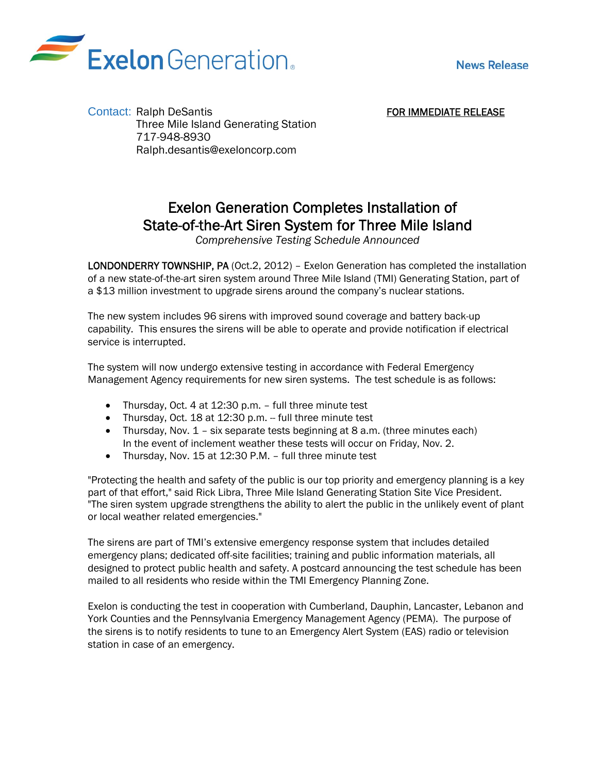



FOR IMMEDIATE RELEASE

Contact: Ralph DeSantis Three Mile Island Generating Station 717-948-8930 Ralph.desantis@exeloncorp.com

## Exelon Generation Completes Installation of State-of-the-Art Siren System for Three Mile Island *Comprehensive Testing Schedule Announced*

LONDONDERRY TOWNSHIP, PA (Oct.2, 2012) – Exelon Generation has completed the installation of a new state-of-the-art siren system around Three Mile Island (TMI) Generating Station, part of a \$13 million investment to upgrade sirens around the company's nuclear stations.

The new system includes 96 sirens with improved sound coverage and battery back-up capability. This ensures the sirens will be able to operate and provide notification if electrical service is interrupted.

The system will now undergo extensive testing in accordance with Federal Emergency Management Agency requirements for new siren systems. The test schedule is as follows:

- Thursday, Oct. 4 at 12:30 p.m. full three minute test
- Thursday, Oct. 18 at 12:30 p.m. full three minute test
- Thursday, Nov. 1 six separate tests beginning at 8 a.m. (three minutes each) In the event of inclement weather these tests will occur on Friday, Nov. 2.
- Thursday, Nov. 15 at 12:30 P.M. full three minute test

"Protecting the health and safety of the public is our top priority and emergency planning is a key part of that effort," said Rick Libra, Three Mile Island Generating Station Site Vice President. "The siren system upgrade strengthens the ability to alert the public in the unlikely event of plant or local weather related emergencies."

The sirens are part of TMI's extensive emergency response system that includes detailed emergency plans; dedicated off-site facilities; training and public information materials, all designed to protect public health and safety. A postcard announcing the test schedule has been mailed to all residents who reside within the TMI Emergency Planning Zone.

Exelon is conducting the test in cooperation with Cumberland, Dauphin, Lancaster, Lebanon and York Counties and the Pennsylvania Emergency Management Agency (PEMA). The purpose of the sirens is to notify residents to tune to an Emergency Alert System (EAS) radio or television station in case of an emergency.